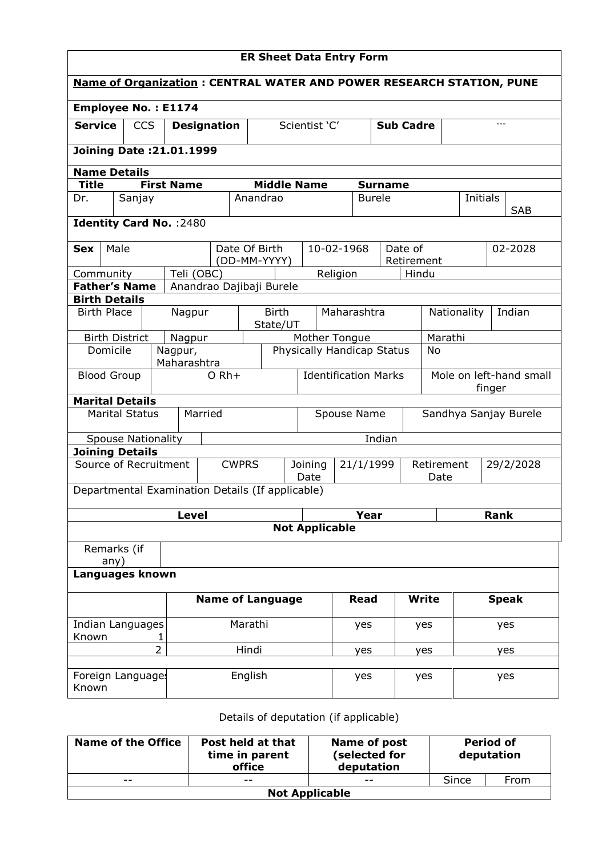| <b>ER Sheet Data Entry Form</b> |                                                                                                                     |                        |                    |                                                                             |  |                             |                            |             |                       |                                   |       |      |                       |
|---------------------------------|---------------------------------------------------------------------------------------------------------------------|------------------------|--------------------|-----------------------------------------------------------------------------|--|-----------------------------|----------------------------|-------------|-----------------------|-----------------------------------|-------|------|-----------------------|
|                                 |                                                                                                                     |                        |                    | <b>Name of Organization: CENTRAL WATER AND POWER RESEARCH STATION, PUNE</b> |  |                             |                            |             |                       |                                   |       |      |                       |
|                                 | <b>Employee No.: E1174</b>                                                                                          |                        |                    |                                                                             |  |                             |                            |             |                       |                                   |       |      |                       |
| <b>Service</b>                  | <b>CCS</b>                                                                                                          |                        | <b>Designation</b> | Scientist 'C'                                                               |  |                             | <b>Sub Cadre</b>           |             |                       |                                   | $---$ |      |                       |
| <b>Joining Date: 21.01.1999</b> |                                                                                                                     |                        |                    |                                                                             |  |                             |                            |             |                       |                                   |       |      |                       |
|                                 | <b>Name Details</b>                                                                                                 |                        |                    |                                                                             |  |                             |                            |             |                       |                                   |       |      |                       |
| <b>Title</b>                    | <b>First Name</b><br><b>Middle Name</b><br><b>Surname</b><br>Anandrao<br><b>Burele</b><br>Initials<br>Sanjay<br>Dr. |                        |                    |                                                                             |  |                             |                            |             |                       |                                   |       |      |                       |
|                                 |                                                                                                                     |                        |                    |                                                                             |  |                             |                            |             |                       |                                   |       |      | <b>SAB</b>            |
|                                 | Identity Card No. : 2480                                                                                            |                        |                    |                                                                             |  |                             |                            |             |                       |                                   |       |      |                       |
| <b>Sex</b>                      | Male                                                                                                                |                        |                    | Date Of Birth<br>(DD-MM-YYYY)                                               |  | 10-02-1968                  |                            |             | Date of<br>Retirement |                                   |       |      | 02-2028               |
| Community                       |                                                                                                                     | Teli (OBC)             |                    |                                                                             |  |                             | Religion                   |             |                       | Hindu                             |       |      |                       |
|                                 | <b>Father's Name</b>                                                                                                |                        |                    | Anandrao Dajibaji Burele                                                    |  |                             |                            |             |                       |                                   |       |      |                       |
| <b>Birth Details</b>            |                                                                                                                     |                        |                    |                                                                             |  |                             |                            |             |                       |                                   |       |      |                       |
| <b>Birth Place</b>              |                                                                                                                     | Nagpur                 |                    | <b>Birth</b><br>Maharashtra<br>State/UT                                     |  |                             |                            |             |                       | Nationality<br>Indian             |       |      |                       |
|                                 | <b>Birth District</b>                                                                                               | Nagpur                 |                    |                                                                             |  | Mother Tongue               |                            |             |                       | Marathi                           |       |      |                       |
| Domicile                        |                                                                                                                     | Nagpur,<br>Maharashtra |                    |                                                                             |  |                             | Physically Handicap Status |             |                       | <b>No</b>                         |       |      |                       |
| <b>Blood Group</b>              |                                                                                                                     |                        | $O Rh+$            |                                                                             |  | <b>Identification Marks</b> |                            |             |                       | Mole on left-hand small<br>finger |       |      |                       |
|                                 | <b>Marital Details</b>                                                                                              |                        |                    |                                                                             |  |                             |                            |             |                       |                                   |       |      |                       |
|                                 | <b>Marital Status</b>                                                                                               |                        | Married            |                                                                             |  |                             | Spouse Name                |             |                       |                                   |       |      | Sandhya Sanjay Burele |
|                                 | <b>Spouse Nationality</b>                                                                                           |                        |                    |                                                                             |  |                             |                            |             | Indian                |                                   |       |      |                       |
|                                 | <b>Joining Details</b>                                                                                              |                        |                    |                                                                             |  |                             |                            |             |                       |                                   |       |      |                       |
|                                 | Source of Recruitment                                                                                               |                        |                    | <b>CWPRS</b>                                                                |  | Joining<br>Date             |                            | 21/1/1999   |                       | Retirement<br>Date                |       |      | 29/2/2028             |
|                                 |                                                                                                                     |                        |                    | Departmental Examination Details (If applicable)                            |  |                             |                            |             |                       |                                   |       |      |                       |
|                                 |                                                                                                                     | <b>Level</b>           |                    |                                                                             |  |                             |                            | Year        |                       |                                   |       | Rank |                       |
|                                 |                                                                                                                     |                        |                    |                                                                             |  | <b>Not Applicable</b>       |                            |             |                       |                                   |       |      |                       |
|                                 | Remarks (if<br>any)                                                                                                 |                        |                    |                                                                             |  |                             |                            |             |                       |                                   |       |      |                       |
|                                 | Languages known                                                                                                     |                        |                    |                                                                             |  |                             |                            |             |                       |                                   |       |      |                       |
|                                 |                                                                                                                     |                        |                    | <b>Name of Language</b>                                                     |  |                             |                            | <b>Read</b> |                       | <b>Write</b>                      |       |      | <b>Speak</b>          |
| Known                           | Indian Languages                                                                                                    |                        | Marathi            |                                                                             |  |                             |                            | yes         |                       | yes                               |       |      | yes                   |
|                                 |                                                                                                                     | $\overline{2}$         |                    | Hindi                                                                       |  |                             |                            | yes         |                       | yes                               |       |      | yes                   |
| Known                           | Foreign Language:                                                                                                   |                        | English            |                                                                             |  |                             |                            | yes         |                       | yes                               |       |      | yes                   |

Details of deputation (if applicable)

| <b>Name of the Office</b> | Post held at that<br>time in parent<br>office | Name of post<br>(selected for<br>deputation | <b>Period of</b><br>deputation |      |  |  |  |  |
|---------------------------|-----------------------------------------------|---------------------------------------------|--------------------------------|------|--|--|--|--|
| $- -$                     | $- -$                                         | $- -$                                       | Since                          | From |  |  |  |  |
| <b>Not Applicable</b>     |                                               |                                             |                                |      |  |  |  |  |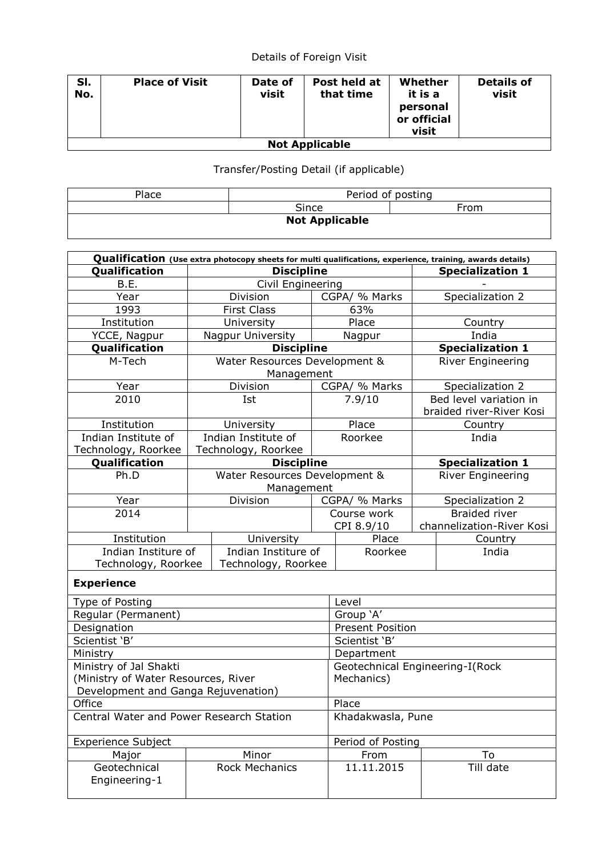# Details of Foreign Visit

| SI.<br>No.            | <b>Place of Visit</b> | Date of<br>visit | Post held at<br>that time | Whether<br>it is a<br>personal<br>or official<br>visit | Details of<br>visit |  |  |  |
|-----------------------|-----------------------|------------------|---------------------------|--------------------------------------------------------|---------------------|--|--|--|
| <b>Not Applicable</b> |                       |                  |                           |                                                        |                     |  |  |  |

# Transfer/Posting Detail (if applicable)

| <sup>o</sup> lace     | Period of posting |      |  |  |  |  |  |  |
|-----------------------|-------------------|------|--|--|--|--|--|--|
|                       | Since             | From |  |  |  |  |  |  |
| <b>Not Applicable</b> |                   |      |  |  |  |  |  |  |

|                                          |                     | Qualification (Use extra photocopy sheets for multi qualifications, experience, training, awards details) |             |                                 |                         |                           |  |  |
|------------------------------------------|---------------------|-----------------------------------------------------------------------------------------------------------|-------------|---------------------------------|-------------------------|---------------------------|--|--|
| Qualification                            |                     | <b>Discipline</b>                                                                                         |             |                                 | <b>Specialization 1</b> |                           |  |  |
| B.E.                                     |                     | Civil Engineering                                                                                         |             |                                 |                         |                           |  |  |
| Year                                     |                     | Division                                                                                                  |             | CGPA/ % Marks                   | Specialization 2        |                           |  |  |
| 1993                                     |                     | <b>First Class</b>                                                                                        |             | 63%                             |                         |                           |  |  |
| Institution                              |                     | University                                                                                                |             | Place                           |                         | Country                   |  |  |
| YCCE, Nagpur                             |                     | Nagpur University                                                                                         |             | Nagpur                          |                         | India                     |  |  |
| Qualification                            |                     | <b>Discipline</b>                                                                                         |             |                                 |                         | <b>Specialization 1</b>   |  |  |
| M-Tech                                   |                     | Water Resources Development &                                                                             |             |                                 |                         | River Engineering         |  |  |
|                                          |                     | Management                                                                                                |             |                                 |                         |                           |  |  |
| Year                                     |                     | Division                                                                                                  |             | CGPA/ % Marks                   |                         | Specialization 2          |  |  |
| 2010                                     |                     | Ist                                                                                                       |             | 7.9/10                          |                         | Bed level variation in    |  |  |
|                                          |                     |                                                                                                           |             |                                 |                         | braided river-River Kosi  |  |  |
| Institution                              |                     | University                                                                                                |             | Place                           |                         | Country                   |  |  |
| Indian Institute of                      |                     | Indian Institute of                                                                                       |             | Roorkee                         |                         | India                     |  |  |
| Technology, Roorkee                      |                     | Technology, Roorkee                                                                                       |             |                                 |                         |                           |  |  |
| Qualification                            |                     | <b>Discipline</b>                                                                                         |             |                                 |                         | <b>Specialization 1</b>   |  |  |
| Ph.D                                     |                     | Water Resources Development &                                                                             |             |                                 |                         | River Engineering         |  |  |
|                                          |                     | Management                                                                                                |             |                                 |                         |                           |  |  |
| Year                                     |                     | Division                                                                                                  |             | CGPA/ % Marks                   |                         | Specialization 2          |  |  |
| 2014                                     |                     |                                                                                                           | Course work |                                 |                         | <b>Braided river</b>      |  |  |
|                                          |                     |                                                                                                           |             | CPI 8.9/10                      |                         | channelization-River Kosi |  |  |
| Institution                              |                     | University                                                                                                |             | Place                           |                         | Country                   |  |  |
| Indian Institure of                      | Indian Institure of |                                                                                                           |             | Roorkee                         |                         | India                     |  |  |
| Technology, Roorkee                      |                     | Technology, Roorkee                                                                                       |             |                                 |                         |                           |  |  |
| <b>Experience</b>                        |                     |                                                                                                           |             |                                 |                         |                           |  |  |
| Type of Posting                          |                     |                                                                                                           |             | Level                           |                         |                           |  |  |
| Regular (Permanent)                      |                     |                                                                                                           |             | Group 'A'                       |                         |                           |  |  |
| Designation                              |                     |                                                                                                           |             | <b>Present Position</b>         |                         |                           |  |  |
| Scientist 'B'                            |                     |                                                                                                           |             | Scientist 'B'                   |                         |                           |  |  |
| Ministry                                 |                     |                                                                                                           |             | Department                      |                         |                           |  |  |
| Ministry of Jal Shakti                   |                     |                                                                                                           |             | Geotechnical Engineering-I(Rock |                         |                           |  |  |
| (Ministry of Water Resources, River      |                     |                                                                                                           |             | Mechanics)                      |                         |                           |  |  |
| Development and Ganga Rejuvenation)      |                     |                                                                                                           |             |                                 |                         |                           |  |  |
| Office                                   |                     |                                                                                                           |             | Place                           |                         |                           |  |  |
| Central Water and Power Research Station |                     |                                                                                                           |             | Khadakwasla, Pune               |                         |                           |  |  |
| <b>Experience Subject</b>                |                     |                                                                                                           |             | Period of Posting               |                         |                           |  |  |
| Major                                    |                     | Minor                                                                                                     |             | From                            | To                      |                           |  |  |
| Geotechnical                             |                     | <b>Rock Mechanics</b>                                                                                     |             | 11.11.2015                      |                         | Till date                 |  |  |
| Engineering-1                            |                     |                                                                                                           |             |                                 |                         |                           |  |  |
|                                          |                     |                                                                                                           |             |                                 |                         |                           |  |  |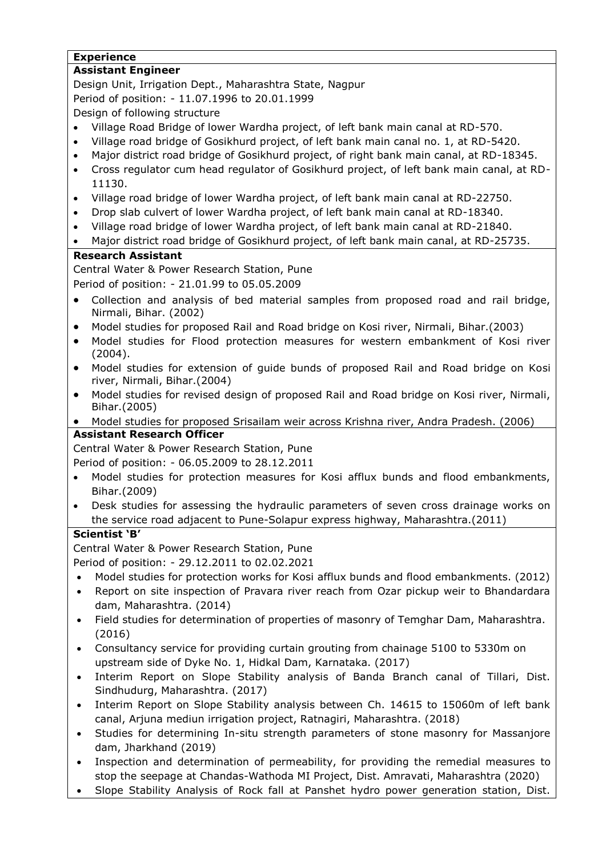## **Experience**

### **Assistant Engineer**

Design Unit, Irrigation Dept., Maharashtra State, Nagpur Period of position: - 11.07.1996 to 20.01.1999

Design of following structure

- Village Road Bridge of lower Wardha project, of left bank main canal at RD-570.
- Village road bridge of Gosikhurd project, of left bank main canal no. 1, at RD-5420.
- Major district road bridge of Gosikhurd project, of right bank main canal, at RD-18345.
- Cross regulator cum head regulator of Gosikhurd project, of left bank main canal, at RD-11130.
- Village road bridge of lower Wardha project, of left bank main canal at RD-22750.
- Drop slab culvert of lower Wardha project, of left bank main canal at RD-18340.
- Village road bridge of lower Wardha project, of left bank main canal at RD-21840.
- Major district road bridge of Gosikhurd project, of left bank main canal, at RD-25735.

# **Research Assistant**

Central Water & Power Research Station, Pune Period of position: - 21.01.99 to 05.05.2009

- Collection and analysis of bed material samples from proposed road and rail bridge, Nirmali, Bihar. (2002)
- Model studies for proposed Rail and Road bridge on Kosi river, Nirmali, Bihar.(2003)
- Model studies for Flood protection measures for western embankment of Kosi river (2004).
- Model studies for extension of guide bunds of proposed Rail and Road bridge on Kosi river, Nirmali, Bihar.(2004)
- Model studies for revised design of proposed Rail and Road bridge on Kosi river, Nirmali, Bihar.(2005)
- Model studies for proposed Srisailam weir across Krishna river, Andra Pradesh. (2006)

# **Assistant Research Officer**

Central Water & Power Research Station, Pune

- Period of position: 06.05.2009 to 28.12.2011
- Model studies for protection measures for Kosi afflux bunds and flood embankments, Bihar.(2009)
- Desk studies for assessing the hydraulic parameters of seven cross drainage works on the service road adjacent to Pune-Solapur express highway, Maharashtra.(2011)

# **Scientist 'B'**

Central Water & Power Research Station, Pune

- Period of position: 29.12.2011 to 02.02.2021
- Model studies for protection works for Kosi afflux bunds and flood embankments. (2012)
- Report on site inspection of Pravara river reach from Ozar pickup weir to Bhandardara dam, Maharashtra. (2014)
- Field studies for determination of properties of masonry of Temghar Dam, Maharashtra. (2016)
- Consultancy service for providing curtain grouting from chainage 5100 to 5330m on upstream side of Dyke No. 1, Hidkal Dam, Karnataka. (2017)
- Interim Report on Slope Stability analysis of Banda Branch canal of Tillari, Dist. Sindhudurg, Maharashtra. (2017)
- Interim Report on Slope Stability analysis between Ch. 14615 to 15060m of left bank canal, Arjuna mediun irrigation project, Ratnagiri, Maharashtra. (2018)
- Studies for determining In-situ strength parameters of stone masonry for Massanjore dam, Jharkhand (2019)
- Inspection and determination of permeability, for providing the remedial measures to stop the seepage at Chandas-Wathoda MI Project, Dist. Amravati, Maharashtra (2020)
- Slope Stability Analysis of Rock fall at Panshet hydro power generation station, Dist.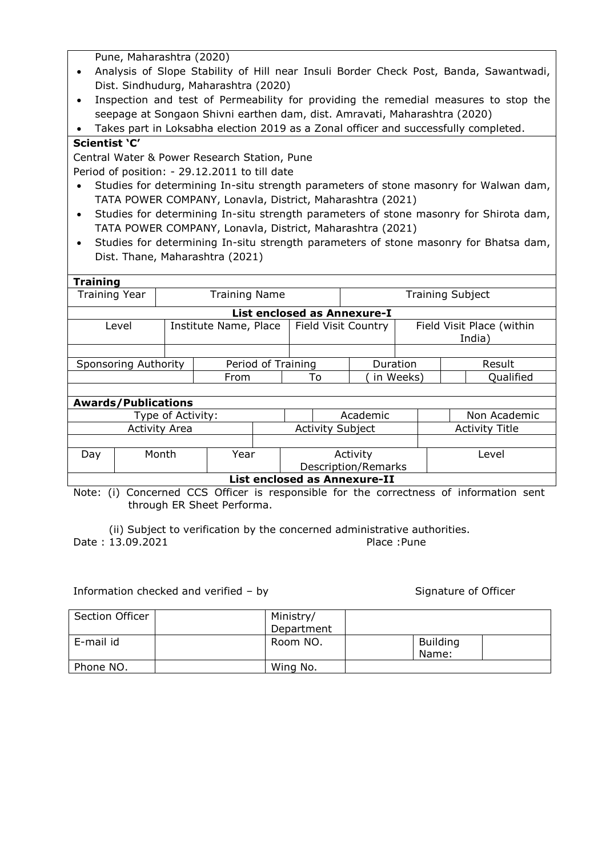Pune, Maharashtra (2020)

- Analysis of Slope Stability of Hill near Insuli Border Check Post, Banda, Sawantwadi, Dist. Sindhudurg, Maharashtra (2020)
- Inspection and test of Permeability for providing the remedial measures to stop the seepage at Songaon Shivni earthen dam, dist. Amravati, Maharashtra (2020)
- Takes part in Loksabha election 2019 as a Zonal officer and successfully completed.

## **Scientist 'C'**

Central Water & Power Research Station, Pune

Period of position: - 29.12.2011 to till date

- Studies for determining In-situ strength parameters of stone masonry for Walwan dam, TATA POWER COMPANY, Lonavla, District, Maharashtra (2021)
- Studies for determining In-situ strength parameters of stone masonry for Shirota dam, TATA POWER COMPANY, Lonavla, District, Maharashtra (2021)
- Studies for determining In-situ strength parameters of stone masonry for Bhatsa dam, Dist. Thane, Maharashtra (2021)

| <b>Training</b>      |                                    |                   |                                 |  |                         |                         |  |                                     |  |  |  |  |
|----------------------|------------------------------------|-------------------|---------------------------------|--|-------------------------|-------------------------|--|-------------------------------------|--|--|--|--|
| <b>Training Year</b> |                                    |                   | <b>Training Name</b>            |  |                         | <b>Training Subject</b> |  |                                     |  |  |  |  |
|                      | <b>List enclosed as Annexure-I</b> |                   |                                 |  |                         |                         |  |                                     |  |  |  |  |
| Level                |                                    |                   | Institute Name, Place           |  |                         | Field Visit Country     |  | Field Visit Place (within<br>India) |  |  |  |  |
|                      |                                    |                   |                                 |  |                         |                         |  |                                     |  |  |  |  |
| Sponsoring Authority |                                    |                   | Period of Training              |  |                         | Duration                |  | Result                              |  |  |  |  |
|                      |                                    |                   | From                            |  | in Weeks)<br>To         |                         |  | <b>Qualified</b>                    |  |  |  |  |
|                      |                                    |                   |                                 |  |                         |                         |  |                                     |  |  |  |  |
|                      | <b>Awards/Publications</b>         |                   |                                 |  |                         |                         |  |                                     |  |  |  |  |
|                      |                                    | Type of Activity: |                                 |  | Academic                |                         |  | Non Academic                        |  |  |  |  |
| <b>Activity Area</b> |                                    |                   |                                 |  | <b>Activity Subject</b> |                         |  | <b>Activity Title</b>               |  |  |  |  |
|                      |                                    |                   |                                 |  |                         |                         |  |                                     |  |  |  |  |
| Month<br>Year<br>Day |                                    |                   | Activity<br>Description/Remarks |  |                         | Level                   |  |                                     |  |  |  |  |

**List enclosed as Annexure-II**

Note: (i) Concerned CCS Officer is responsible for the correctness of information sent through ER Sheet Performa.

 (ii) Subject to verification by the concerned administrative authorities. Date : 13.09.2021 Place :Pune

Information checked and verified – by Signature of Officer

| <b>Section Officer</b> | Ministry/  |                          |  |
|------------------------|------------|--------------------------|--|
|                        | Department |                          |  |
| E-mail id              | Room NO.   | <b>Building</b><br>Name: |  |
| Phone NO.              | Wing No.   |                          |  |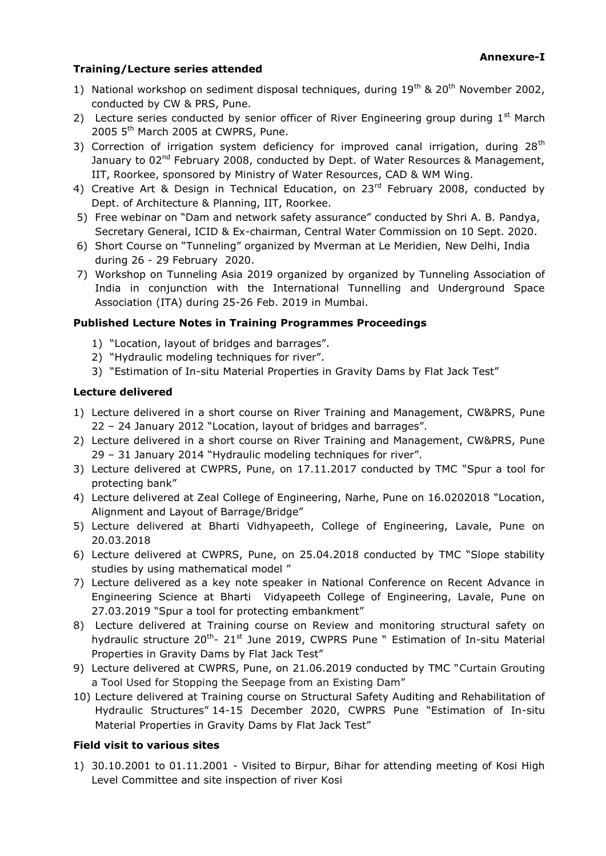## **Training/Lecture series attended**

- 1) National workshop on sediment disposal techniques, during  $19^{th}$  &  $20^{th}$  November 2002, conducted by CW & PRS, Pune.
- 2) Lecture series conducted by senior officer of River Engineering group during  $1<sup>st</sup>$  March 2005 5<sup>th</sup> March 2005 at CWPRS, Pune.
- 3) Correction of irrigation system deficiency for improved canal irrigation, during  $28<sup>th</sup>$ January to 02<sup>nd</sup> February 2008, conducted by Dept. of Water Resources & Management, IIT, Roorkee, sponsored by Ministry of Water Resources, CAD & WM Wing.
- 4) Creative Art & Design in Technical Education, on 23<sup>rd</sup> February 2008, conducted by Dept. of Architecture & Planning, IIT, Roorkee.
- 5) Free webinar on "Dam and network safety assurance" conducted by Shri A. B. Pandya, Secretary General, ICID & Ex-chairman, Central Water Commission on 10 Sept. 2020.
- 6) Short Course on "Tunneling" organized by Mverman at Le Meridien, New Delhi, India during 26 - 29 February 2020.
- 7) Workshop on Tunneling Asia 2019 organized by organized by Tunneling Association of India in conjunction with the International Tunnelling and Underground Space Association (ITA) during 25-26 Feb. 2019 in Mumbai.

### **Published Lecture Notes in Training Programmes Proceedings**

- 1) "Location, layout of bridges and barrages".
- 2) "Hydraulic modeling techniques for river".
- 3) "Estimation of In-situ Material Properties in Gravity Dams by Flat Jack Test"

#### **Lecture delivered**

- 1) Lecture delivered in a short course on River Training and Management, CW&PRS, Pune 22 – 24 January 2012 "Location, layout of bridges and barrages".
- 2) Lecture delivered in a short course on River Training and Management, CW&PRS, Pune 29 – 31 January 2014 "Hydraulic modeling techniques for river".
- 3) Lecture delivered at CWPRS, Pune, on 17.11.2017 conducted by TMC "Spur a tool for protecting bank"
- 4) Lecture delivered at Zeal College of Engineering, Narhe, Pune on 16.0202018 "Location, Alignment and Layout of Barrage/Bridge"
- 5) Lecture delivered at Bharti Vidhyapeeth, College of Engineering, Lavale, Pune on 20.03.2018
- 6) Lecture delivered at CWPRS, Pune, on 25.04.2018 conducted by TMC "Slope stability studies by using mathematical model "
- 7) Lecture delivered as a key note speaker in National Conference on Recent Advance in Engineering Science at Bharti Vidyapeeth College of Engineering, Lavale, Pune on 27.03.2019 "Spur a tool for protecting embankment"
- 8) Lecture delivered at Training course on Review and monitoring structural safety on hydraulic structure 20<sup>th</sup>- 21<sup>st</sup> June 2019, CWPRS Pune " Estimation of In-situ Material Properties in Gravity Dams by Flat Jack Test"
- 9) Lecture delivered at CWPRS, Pune, on 21.06.2019 conducted by TMC "Curtain Grouting a Tool Used for Stopping the Seepage from an Existing Dam"
- 10) Lecture delivered at Training course on Structural Safety Auditing and Rehabilitation of Hydraulic Structures" 14-15 December 2020, CWPRS Pune "Estimation of In-situ Material Properties in Gravity Dams by Flat Jack Test"

#### **Field visit to various sites**

1) 30.10.2001 to 01.11.2001 - Visited to Birpur, Bihar for attending meeting of Kosi High Level Committee and site inspection of river Kosi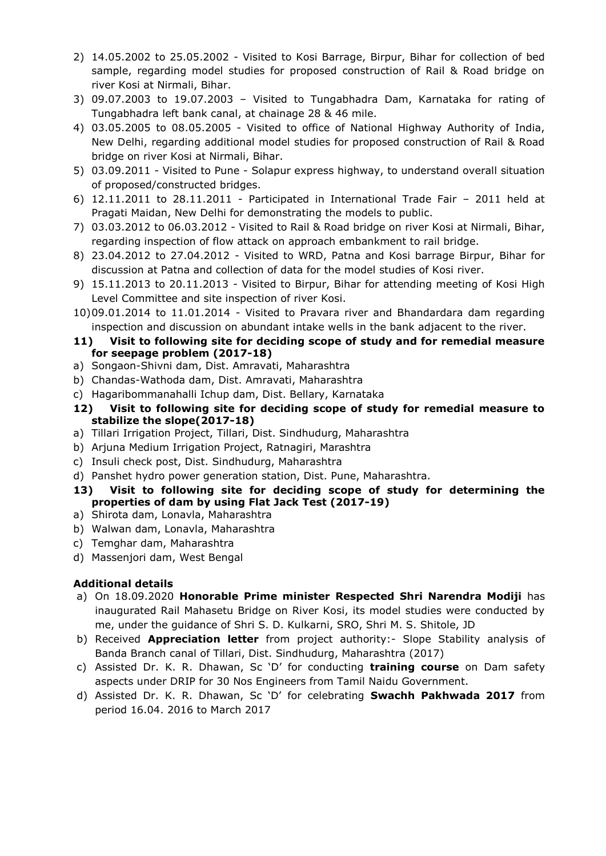- 2) 14.05.2002 to 25.05.2002 Visited to Kosi Barrage, Birpur, Bihar for collection of bed sample, regarding model studies for proposed construction of Rail & Road bridge on river Kosi at Nirmali, Bihar.
- 3) 09.07.2003 to 19.07.2003 Visited to Tungabhadra Dam, Karnataka for rating of Tungabhadra left bank canal, at chainage 28 & 46 mile.
- 4) 03.05.2005 to 08.05.2005 Visited to office of National Highway Authority of India, New Delhi, regarding additional model studies for proposed construction of Rail & Road bridge on river Kosi at Nirmali, Bihar.
- 5) 03.09.2011 Visited to Pune Solapur express highway, to understand overall situation of proposed/constructed bridges.
- 6) 12.11.2011 to 28.11.2011 Participated in International Trade Fair 2011 held at Pragati Maidan, New Delhi for demonstrating the models to public.
- 7) 03.03.2012 to 06.03.2012 Visited to Rail & Road bridge on river Kosi at Nirmali, Bihar, regarding inspection of flow attack on approach embankment to rail bridge.
- 8) 23.04.2012 to 27.04.2012 Visited to WRD, Patna and Kosi barrage Birpur, Bihar for discussion at Patna and collection of data for the model studies of Kosi river.
- 9) 15.11.2013 to 20.11.2013 Visited to Birpur, Bihar for attending meeting of Kosi High Level Committee and site inspection of river Kosi.
- 10)09.01.2014 to 11.01.2014 Visited to Pravara river and Bhandardara dam regarding inspection and discussion on abundant intake wells in the bank adjacent to the river.
- **11) Visit to following site for deciding scope of study and for remedial measure for seepage problem (2017-18)**
- a) Songaon-Shivni dam, Dist. Amravati, Maharashtra
- b) Chandas-Wathoda dam, Dist. Amravati, Maharashtra
- c) Hagaribommanahalli Ichup dam, Dist. Bellary, Karnataka
- **12) Visit to following site for deciding scope of study for remedial measure to stabilize the slope(2017-18)**
- a) Tillari Irrigation Project, Tillari, Dist. Sindhudurg, Maharashtra
- b) Arjuna Medium Irrigation Project, Ratnagiri, Marashtra
- c) Insuli check post, Dist. Sindhudurg, Maharashtra
- d) Panshet hydro power generation station, Dist. Pune, Maharashtra.
- **13) Visit to following site for deciding scope of study for determining the properties of dam by using Flat Jack Test (2017-19)**
- a) Shirota dam, Lonavla, Maharashtra
- b) Walwan dam, Lonavla, Maharashtra
- c) Temghar dam, Maharashtra
- d) Massenjori dam, West Bengal

### **Additional details**

- a) On 18.09.2020 **Honorable Prime minister Respected Shri Narendra Modiji** has inaugurated Rail Mahasetu Bridge on River Kosi, its model studies were conducted by me, under the guidance of Shri S. D. Kulkarni, SRO, Shri M. S. Shitole, JD
- b) Received **Appreciation letter** from project authority:- Slope Stability analysis of Banda Branch canal of Tillari, Dist. Sindhudurg, Maharashtra (2017)
- c) Assisted Dr. K. R. Dhawan, Sc 'D' for conducting **training course** on Dam safety aspects under DRIP for 30 Nos Engineers from Tamil Naidu Government.
- d) Assisted Dr. K. R. Dhawan, Sc 'D' for celebrating **Swachh Pakhwada 2017** from period 16.04. 2016 to March 2017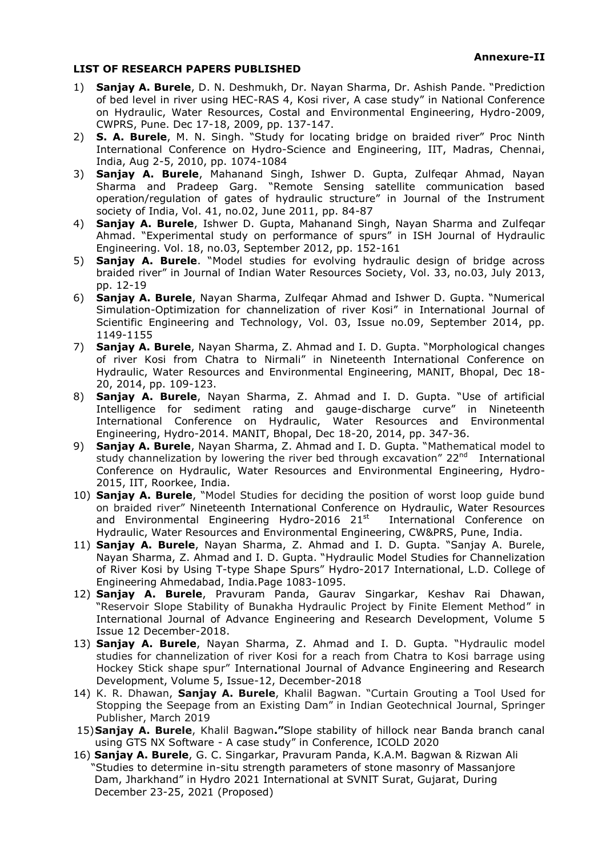#### **LIST OF RESEARCH PAPERS PUBLISHED**

- 1) **Sanjay A. Burele**, D. N. Deshmukh, Dr. Nayan Sharma, Dr. Ashish Pande. "Prediction of bed level in river using HEC-RAS 4, Kosi river, A case study" in National Conference on Hydraulic, Water Resources, Costal and Environmental Engineering, Hydro-2009, CWPRS, Pune. Dec 17-18, 2009, pp. 137-147.
- 2) **S. A. Burele**, M. N. Singh. "Study for locating bridge on braided river" Proc Ninth International Conference on Hydro-Science and Engineering, IIT, Madras, Chennai, India, Aug 2-5, 2010, pp. 1074-1084
- 3) **Sanjay A. Burele**, Mahanand Singh, Ishwer D. Gupta, Zulfeqar Ahmad, Nayan Sharma and Pradeep Garg. "Remote Sensing satellite communication based operation/regulation of gates of hydraulic structure" in Journal of the Instrument society of India, Vol. 41, no.02, June 2011, pp. 84-87
- 4) **Sanjay A. Burele**, Ishwer D. Gupta, Mahanand Singh, Nayan Sharma and Zulfeqar Ahmad. "Experimental study on performance of spurs" in ISH Journal of Hydraulic Engineering. Vol. 18, no.03, September 2012, pp. 152-161
- 5) **Sanjay A. Burele**. "Model studies for evolving hydraulic design of bridge across braided river" in Journal of Indian Water Resources Society, Vol. 33, no.03, July 2013, pp. 12-19
- 6) **Sanjay A. Burele**, Nayan Sharma, Zulfeqar Ahmad and Ishwer D. Gupta. "Numerical Simulation-Optimization for channelization of river Kosi" in International Journal of Scientific Engineering and Technology, Vol. 03, Issue no.09, September 2014, pp. 1149-1155
- 7) **Sanjay A. Burele**, Nayan Sharma, Z. Ahmad and I. D. Gupta. "Morphological changes of river Kosi from Chatra to Nirmali" in Nineteenth International Conference on Hydraulic, Water Resources and Environmental Engineering, MANIT, Bhopal, Dec 18- 20, 2014, pp. 109-123.
- 8) **Sanjay A. Burele**, Nayan Sharma, Z. Ahmad and I. D. Gupta. "Use of artificial Intelligence for sediment rating and gauge-discharge curve" in Nineteenth International Conference on Hydraulic, Water Resources and Environmental Engineering, Hydro-2014. MANIT, Bhopal, Dec 18-20, 2014, pp. 347-36.
- 9) **Sanjay A. Burele**, Nayan Sharma, Z. Ahmad and I. D. Gupta. "Mathematical model to study channelization by lowering the river bed through excavation" 22<sup>nd</sup> International Conference on Hydraulic, Water Resources and Environmental Engineering, Hydro-2015, IIT, Roorkee, India.
- 10) **Sanjay A. Burele**, "Model Studies for deciding the position of worst loop guide bund on braided river" Nineteenth International Conference on Hydraulic, Water Resources and Environmental Engineering Hydro-2016 21 $\mathrm{^{st}}$  International Conference on Hydraulic, Water Resources and Environmental Engineering, CW&PRS, Pune, India.
- 11) **Sanjay A. Burele**, Nayan Sharma, Z. Ahmad and I. D. Gupta. "Sanjay A. Burele, Nayan Sharma, Z. Ahmad and I. D. Gupta. "Hydraulic Model Studies for Channelization of River Kosi by Using T-type Shape Spurs" Hydro-2017 International, L.D. College of Engineering Ahmedabad, India.Page 1083-1095.
- 12) **Sanjay A. Burele**, Pravuram Panda, Gaurav Singarkar, Keshav Rai Dhawan, "Reservoir Slope Stability of Bunakha Hydraulic Project by Finite Element Method" in International Journal of Advance Engineering and Research Development, Volume 5 Issue 12 December-2018.
- 13) **Sanjay A. Burele**, Nayan Sharma, Z. Ahmad and I. D. Gupta. "Hydraulic model studies for channelization of river Kosi for a reach from Chatra to Kosi barrage using Hockey Stick shape spur" International Journal of Advance Engineering and Research Development, Volume 5, Issue-12, December-2018
- 14) K. R. Dhawan, **Sanjay A. Burele**, Khalil Bagwan. "Curtain Grouting a Tool Used for Stopping the Seepage from an Existing Dam" in Indian Geotechnical Journal, Springer Publisher, March 2019
- 15)**Sanjay A. Burele**, Khalil Bagwan**."**Slope stability of hillock near Banda branch canal using GTS NX Software - A case study" in Conference, ICOLD 2020
- 16) **Sanjay A. Burele**, G. C. Singarkar, Pravuram Panda, K.A.M. Bagwan & Rizwan Ali "Studies to determine in-situ strength parameters of stone masonry of Massanjore Dam, Jharkhand" in Hydro 2021 International at SVNIT Surat, Gujarat, During December 23-25, 2021 (Proposed)